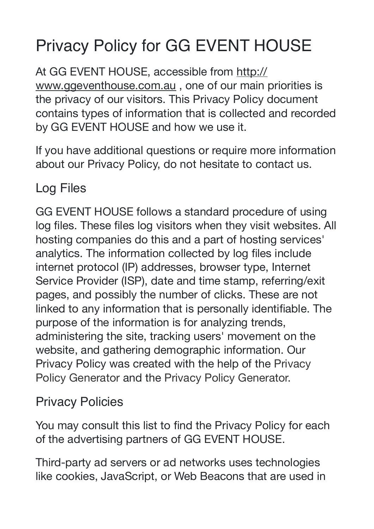## Privacy Policy for GG EVENT HOUSE

At GG EVENT HOUSE, accessible from [http://](http://www.ggeventhouse.com.au) [www.ggeventhouse.com.au](http://www.ggeventhouse.com.au), one of our main priorities is the privacy of our visitors. This Privacy Policy document contains types of information that is collected and recorded by GG EVENT HOUSE and how we use it.

If you have additional questions or require more information about our Privacy Policy, do not hesitate to contact us.

Log Files

GG EVENT HOUSE follows a standard procedure of using log files. These files log visitors when they visit websites. All hosting companies do this and a part of hosting services' analytics. The information collected by log files include internet protocol (IP) addresses, browser type, Internet Service Provider (ISP), date and time stamp, referring/exit pages, and possibly the number of clicks. These are not linked to any information that is personally identifiable. The purpose of the information is for analyzing trends, administering the site, tracking users' movement on the website, and gathering demographic information. Our Privacy Policy was created with the help of the [Privacy](https://www.privacypolicyonline.com/privacy-policy-generator/)  [Policy Generator](https://www.privacypolicyonline.com/privacy-policy-generator/) and the [Privacy Policy Generator.](https://www.generateprivacypolicy.com/)

Privacy Policies

You may consult this list to find the Privacy Policy for each of the advertising partners of GG EVENT HOUSE.

Third-party ad servers or ad networks uses technologies like cookies, JavaScript, or Web Beacons that are used in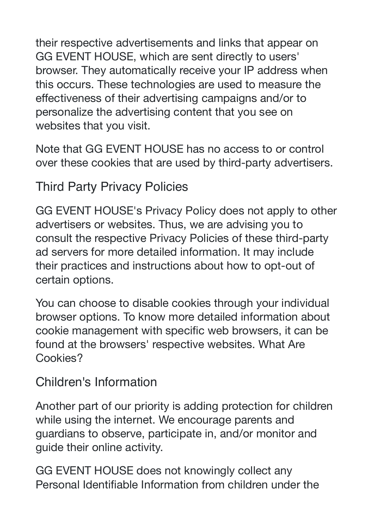their respective advertisements and links that appear on GG EVENT HOUSE, which are sent directly to users' browser. They automatically receive your IP address when this occurs. These technologies are used to measure the effectiveness of their advertising campaigns and/or to personalize the advertising content that you see on websites that you visit.

Note that GG EVENT HOUSE has no access to or control over these cookies that are used by third-party advertisers.

Third Party Privacy Policies

GG EVENT HOUSE's Privacy Policy does not apply to other advertisers or websites. Thus, we are advising you to consult the respective Privacy Policies of these third-party ad servers for more detailed information. It may include their practices and instructions about how to opt-out of certain options.

You can choose to disable cookies through your individual browser options. To know more detailed information about cookie management with specific web browsers, it can be found at the browsers' respective websites. What Are Cookies?

## Children's Information

Another part of our priority is adding protection for children while using the internet. We encourage parents and guardians to observe, participate in, and/or monitor and guide their online activity.

GG EVENT HOUSE does not knowingly collect any Personal Identifiable Information from children under the